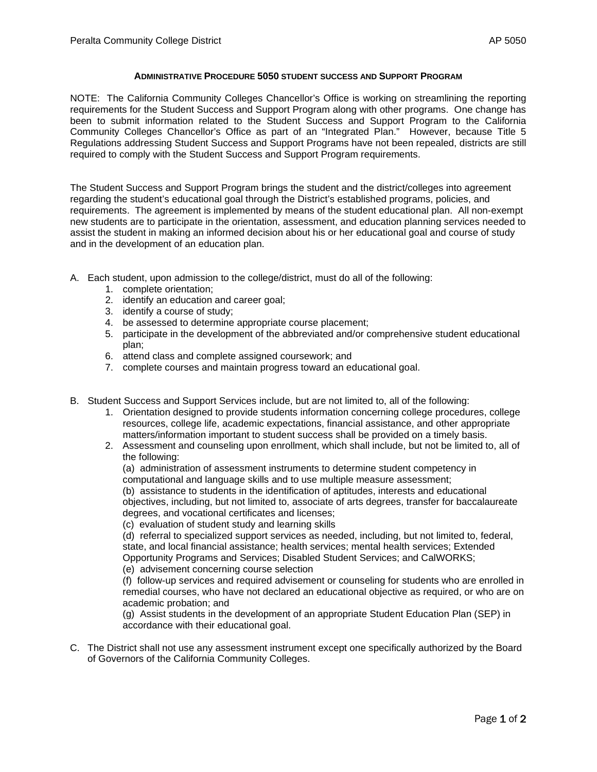## **ADMINISTRATIVE PROCEDURE 5050 STUDENT SUCCESS AND SUPPORT PROGRAM**

NOTE: The California Community Colleges Chancellor's Office is working on streamlining the reporting requirements for the Student Success and Support Program along with other programs. One change has been to submit information related to the Student Success and Support Program to the California Community Colleges Chancellor's Office as part of an "Integrated Plan." However, because Title 5 Regulations addressing Student Success and Support Programs have not been repealed, districts are still required to comply with the Student Success and Support Program requirements.

The Student Success and Support Program brings the student and the district/colleges into agreement regarding the student's educational goal through the District's established programs, policies, and requirements. The agreement is implemented by means of the student educational plan. All non-exempt new students are to participate in the orientation, assessment, and education planning services needed to assist the student in making an informed decision about his or her educational goal and course of study and in the development of an education plan.

- A. Each student, upon admission to the college/district, must do all of the following:
	- 1. complete orientation;
	- 2. identify an education and career goal;
	- 3. identify a course of study;
	- 4. be assessed to determine appropriate course placement;
	- 5. participate in the development of the abbreviated and/or comprehensive student educational plan;
	- 6. attend class and complete assigned coursework; and
	- 7. complete courses and maintain progress toward an educational goal.
- B. Student Success and Support Services include, but are not limited to, all of the following:
	- 1. Orientation designed to provide students information concerning college procedures, college resources, college life, academic expectations, financial assistance, and other appropriate matters/information important to student success shall be provided on a timely basis.
	- 2. Assessment and counseling upon enrollment, which shall include, but not be limited to, all of the following:
		- (a) administration of assessment instruments to determine student competency in computational and language skills and to use multiple measure assessment;
		-

(b) assistance to students in the identification of aptitudes, interests and educational objectives, including, but not limited to, associate of arts degrees, transfer for baccalaureate degrees, and vocational certificates and licenses;

(c) evaluation of student study and learning skills

(d) referral to specialized support services as needed, including, but not limited to, federal, state, and local financial assistance; health services; mental health services; Extended Opportunity Programs and Services; Disabled Student Services; and CalWORKS;

(e) advisement concerning course selection

(f) follow-up services and required advisement or counseling for students who are enrolled in remedial courses, who have not declared an educational objective as required, or who are on academic probation; and

(g) Assist students in the development of an appropriate Student Education Plan (SEP) in accordance with their educational goal.

C. The District shall not use any assessment instrument except one specifically authorized by the Board of Governors of the California Community Colleges.